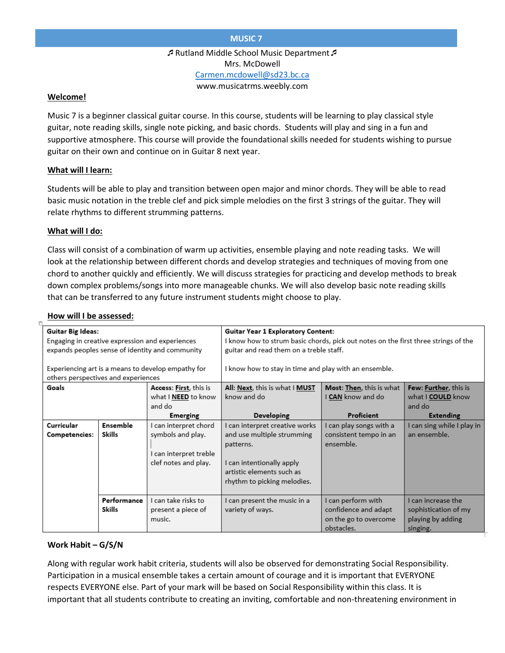# **MUSIC 7**

Rutland Middle School Music Department Mrs. McDowell [Carmen.mcdowell@sd23.bc.ca](mailto:Carmen.mcdowell@sd23.bc.ca) www.musicatrms.weebly.com

### **Welcome!**

Music 7 is a beginner classical guitar course. In this course, students will be learning to play classical style guitar, note reading skills, single note picking, and basic chords. Students will play and sing in a fun and supportive atmosphere. This course will provide the foundational skills needed for students wishing to pursue guitar on their own and continue on in Guitar 8 next year.

### **What will I learn:**

Students will be able to play and transition between open major and minor chords. They will be able to read basic music notation in the treble clef and pick simple melodies on the first 3 strings of the guitar. They will relate rhythms to different strumming patterns.

### **What will I do:**

Class will consist of a combination of warm up activities, ensemble playing and note reading tasks. We will look at the relationship between different chords and develop strategies and techniques of moving from one chord to another quickly and efficiently. We will discuss strategies for practicing and develop methods to break down complex problems/songs into more manageable chunks. We will also develop basic note reading skills that can be transferred to any future instrument students might choose to play.

#### **How will I be assessed:**

| ٣                                                  |             |                        |                                                                                    |                          |                            |  |  |
|----------------------------------------------------|-------------|------------------------|------------------------------------------------------------------------------------|--------------------------|----------------------------|--|--|
| <b>Guitar Big Ideas:</b>                           |             |                        | Guitar Year 1 Exploratory Content:                                                 |                          |                            |  |  |
| Engaging in creative expression and experiences    |             |                        | I know how to strum basic chords, pick out notes on the first three strings of the |                          |                            |  |  |
| expands peoples sense of identity and community    |             |                        | guitar and read them on a treble staff.                                            |                          |                            |  |  |
|                                                    |             |                        |                                                                                    |                          |                            |  |  |
| Experiencing art is a means to develop empathy for |             |                        | I know how to stay in time and play with an ensemble.                              |                          |                            |  |  |
| others perspectives and experiences                |             |                        |                                                                                    |                          |                            |  |  |
| Goals                                              |             | Access: First, this is | All: Next, this is what I MUST                                                     | Most: Then, this is what | Few: Further, this is      |  |  |
|                                                    |             | what I NEED to know    | know and do                                                                        | CAN know and do          | what I COULD know          |  |  |
|                                                    |             | and do                 |                                                                                    |                          | and do                     |  |  |
|                                                    |             | <b>Emerging</b>        | Developing                                                                         | Proficient               | <b>Extending</b>           |  |  |
| Curricular                                         | Ensemble    | I can interpret chord  | I can interpret creative works                                                     | l can play songs with a  | I can sing while I play in |  |  |
| <b>Competencies:</b>                               | Skills      | symbols and play.      | and use multiple strumming                                                         | consistent tempo in an   | an ensemble.               |  |  |
|                                                    |             |                        | patterns.                                                                          | ensemble.                |                            |  |  |
|                                                    |             | I can interpret treble |                                                                                    |                          |                            |  |  |
|                                                    |             | clef notes and play.   | I can intentionally apply                                                          |                          |                            |  |  |
|                                                    |             |                        | artistic elements such as                                                          |                          |                            |  |  |
|                                                    |             |                        | rhythm to picking melodies.                                                        |                          |                            |  |  |
|                                                    |             |                        |                                                                                    |                          |                            |  |  |
|                                                    | Performance | I can take risks to    | I can present the music in a                                                       | I can perform with       | I can increase the         |  |  |
|                                                    | Skills      | present a piece of     | variety of ways.                                                                   | confidence and adapt     | sophistication of my       |  |  |
|                                                    |             | music.                 |                                                                                    | on the go to overcome    | playing by adding          |  |  |
|                                                    |             |                        |                                                                                    | obstacles.               | singing.                   |  |  |

### **Work Habit – G/S/N**

Along with regular work habit criteria, students will also be observed for demonstrating Social Responsibility. Participation in a musical ensemble takes a certain amount of courage and it is important that EVERYONE respects EVERYONE else. Part of your mark will be based on Social Responsibility within this class. It is important that all students contribute to creating an inviting, comfortable and non-threatening environment in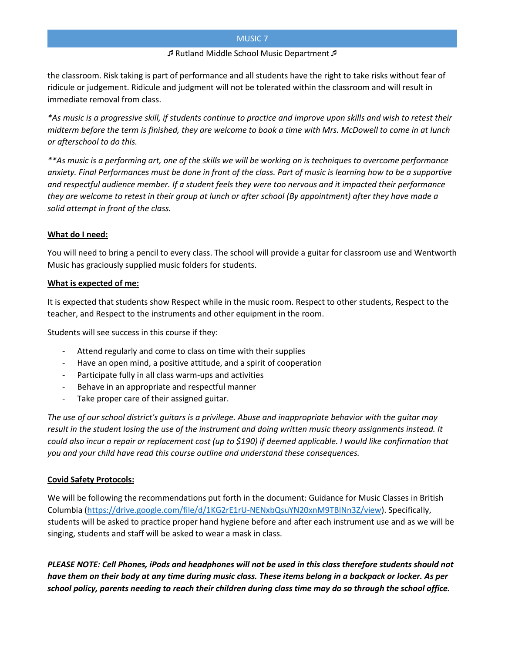# MUSIC 7

### Rutland Middle School Music Department

the classroom. Risk taking is part of performance and all students have the right to take risks without fear of ridicule or judgement. Ridicule and judgment will not be tolerated within the classroom and will result in immediate removal from class.

*\*As music is a progressive skill, if students continue to practice and improve upon skills and wish to retest their midterm before the term is finished, they are welcome to book a time with Mrs. McDowell to come in at lunch or afterschool to do this.* 

*\*\*As music is a performing art, one of the skills we will be working on is techniques to overcome performance anxiety. Final Performances must be done in front of the class. Part of music is learning how to be a supportive and respectful audience member. If a student feels they were too nervous and it impacted their performance they are welcome to retest in their group at lunch or after school (By appointment) after they have made a solid attempt in front of the class.* 

# **What do I need:**

You will need to bring a pencil to every class. The school will provide a guitar for classroom use and Wentworth Music has graciously supplied music folders for students.

# **What is expected of me:**

It is expected that students show Respect while in the music room. Respect to other students, Respect to the teacher, and Respect to the instruments and other equipment in the room.

Students will see success in this course if they:

- Attend regularly and come to class on time with their supplies
- Have an open mind, a positive attitude, and a spirit of cooperation
- Participate fully in all class warm-ups and activities
- Behave in an appropriate and respectful manner
- Take proper care of their assigned guitar.

*The use of our school district's guitars is a privilege. Abuse and inappropriate behavior with the guitar may result in the student losing the use of the instrument and doing written music theory assignments instead. It could also incur a repair or replacement cost (up to \$190) if deemed applicable. I would like confirmation that you and your child have read this course outline and understand these consequences.* 

# **Covid Safety Protocols:**

We will be following the recommendations put forth in the document: Guidance for Music Classes in British Columbia [\(https://drive.google.com/file/d/1KG2rE1rU-NENxbQsuYN20xnM9TBlNn3Z/view\)](https://drive.google.com/file/d/1KG2rE1rU-NENxbQsuYN20xnM9TBlNn3Z/view). Specifically, students will be asked to practice proper hand hygiene before and after each instrument use and as we will be singing, students and staff will be asked to wear a mask in class.

*PLEASE NOTE: Cell Phones, iPods and headphones will not be used in this class therefore students should not have them on their body at any time during music class. These items belong in a backpack or locker. As per school policy, parents needing to reach their children during class time may do so through the school office.*